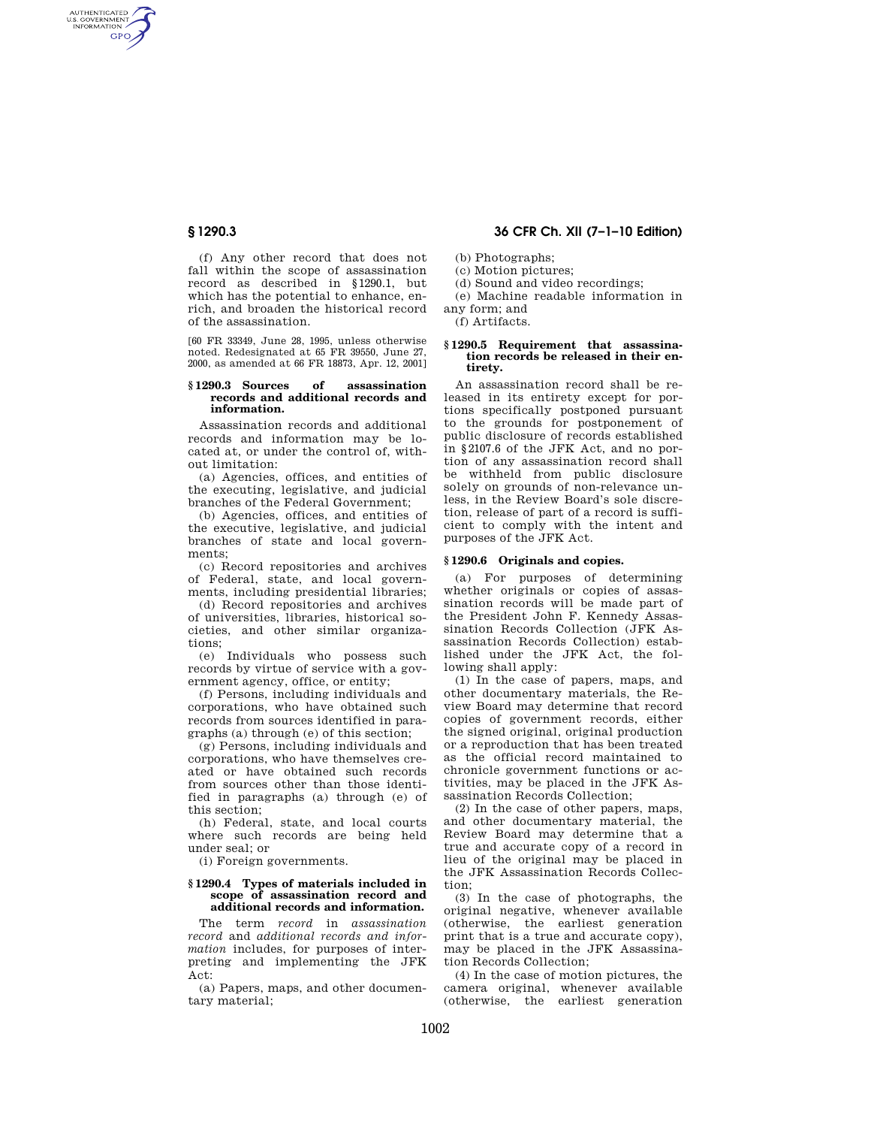AUTHENTICATED<br>U.S. GOVERNMENT<br>INFORMATION **GPO** 

> (f) Any other record that does not fall within the scope of assassination record as described in §1290.1, but which has the potential to enhance, enrich, and broaden the historical record of the assassination.

> [60 FR 33349, June 28, 1995, unless otherwise noted. Redesignated at 65 FR 39550, June 27, 2000, as amended at 66 FR 18873, Apr. 12, 2001]

#### **§ 1290.3 Sources of assassination records and additional records and information.**

Assassination records and additional records and information may be located at, or under the control of, without limitation:

(a) Agencies, offices, and entities of the executing, legislative, and judicial branches of the Federal Government;

(b) Agencies, offices, and entities of the executive, legislative, and judicial branches of state and local governments;

(c) Record repositories and archives of Federal, state, and local governments, including presidential libraries;

(d) Record repositories and archives of universities, libraries, historical societies, and other similar organizations;

(e) Individuals who possess such records by virtue of service with a government agency, office, or entity;

(f) Persons, including individuals and corporations, who have obtained such records from sources identified in paragraphs (a) through (e) of this section;

(g) Persons, including individuals and corporations, who have themselves created or have obtained such records from sources other than those identified in paragraphs (a) through (e) of this section;

(h) Federal, state, and local courts where such records are being held under seal; or

(i) Foreign governments.

### **§ 1290.4 Types of materials included in scope of assassination record and additional records and information.**

The term *record* in *assassination record* and *additional records and information* includes, for purposes of interpreting and implementing the JFK Act:

(a) Papers, maps, and other documentary material;

# **§ 1290.3 36 CFR Ch. XII (7–1–10 Edition)**

(b) Photographs;

(c) Motion pictures;

- (d) Sound and video recordings;
- (e) Machine readable information in

any form; and

(f) Artifacts.

#### **§ 1290.5 Requirement that assassination records be released in their entirety.**

An assassination record shall be released in its entirety except for portions specifically postponed pursuant to the grounds for postponement of public disclosure of records established in §2107.6 of the JFK Act, and no portion of any assassination record shall be withheld from public disclosure solely on grounds of non-relevance unless, in the Review Board's sole discretion, release of part of a record is sufficient to comply with the intent and purposes of the JFK Act.

## **§ 1290.6 Originals and copies.**

(a) For purposes of determining whether originals or copies of assassination records will be made part of the President John F. Kennedy Assassination Records Collection (JFK Assassination Records Collection) established under the JFK Act, the following shall apply:

(1) In the case of papers, maps, and other documentary materials, the Review Board may determine that record copies of government records, either the signed original, original production or a reproduction that has been treated as the official record maintained to chronicle government functions or activities, may be placed in the JFK Assassination Records Collection;

(2) In the case of other papers, maps, and other documentary material, the Review Board may determine that a true and accurate copy of a record in lieu of the original may be placed in the JFK Assassination Records Collection;

(3) In the case of photographs, the original negative, whenever available (otherwise, the earliest generation print that is a true and accurate copy), may be placed in the JFK Assassination Records Collection;

(4) In the case of motion pictures, the camera original, whenever available (otherwise, the earliest generation